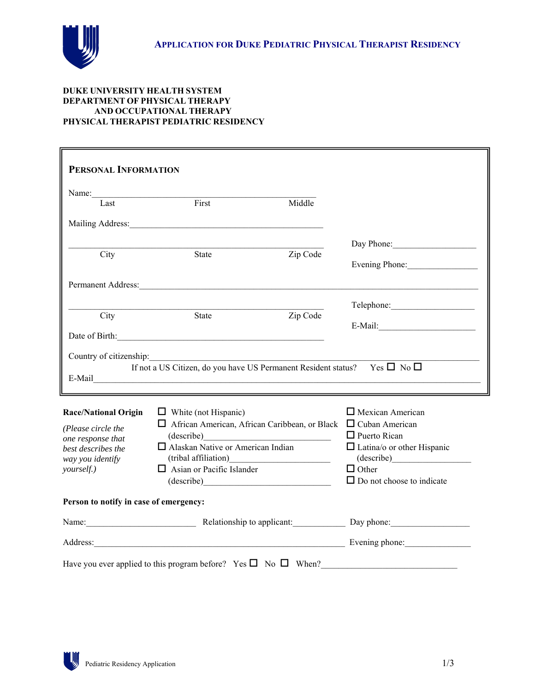

## **DUKE UNIVERSITY HEALTH SYSTEM DEPARTMENT OF PHYSICAL THERAPY AND OCCUPATIONAL THERAPY PHYSICAL THERAPIST PEDIATRIC RESIDENCY**

| PERSONAL INFORMATION                   |                                                                                                                                                                                                                                                                                                                       |  |                                   |
|----------------------------------------|-----------------------------------------------------------------------------------------------------------------------------------------------------------------------------------------------------------------------------------------------------------------------------------------------------------------------|--|-----------------------------------|
| Name:                                  |                                                                                                                                                                                                                                                                                                                       |  |                                   |
| Last                                   | First<br>Middle                                                                                                                                                                                                                                                                                                       |  |                                   |
|                                        |                                                                                                                                                                                                                                                                                                                       |  |                                   |
|                                        |                                                                                                                                                                                                                                                                                                                       |  | Day Phone:                        |
| City                                   | Zip Code<br>State                                                                                                                                                                                                                                                                                                     |  |                                   |
|                                        |                                                                                                                                                                                                                                                                                                                       |  | Evening Phone:                    |
|                                        | Permanent Address:                                                                                                                                                                                                                                                                                                    |  |                                   |
|                                        |                                                                                                                                                                                                                                                                                                                       |  |                                   |
| City                                   | Zip Code<br>State                                                                                                                                                                                                                                                                                                     |  |                                   |
|                                        | Date of Birth: 2000 and 2000 and 2000 and 2000 and 2000 and 2000 and 2000 and 2000 and 2000 and 2000 and 2000 and 2000 and 2000 and 2000 and 2000 and 2000 and 2000 and 2000 and 2000 and 2000 and 2000 and 2000 and 2000 and                                                                                         |  |                                   |
|                                        |                                                                                                                                                                                                                                                                                                                       |  |                                   |
|                                        | If not a US Citizen, do you have US Permanent Resident status? Yes $\Box$ No $\Box$<br>E-Mail Communication of the Communication of the Communication of the Communication of the Communication of the Communication of the Communication of the Communication of the Communication of the Communication of the Commu |  |                                   |
| <b>Race/National Origin</b>            | $\Box$ White (not Hispanic)                                                                                                                                                                                                                                                                                           |  | $\Box$ Mexican American           |
| (Please circle the                     | $\Box$ African American, African Caribbean, or Black $\Box$ Cuban American                                                                                                                                                                                                                                            |  |                                   |
| one response that                      | (describe)                                                                                                                                                                                                                                                                                                            |  | $\Box$ Puerto Rican               |
| best describes the                     | □ Alaskan Native or American Indian                                                                                                                                                                                                                                                                                   |  | $\Box$ Latina/o or other Hispanic |
| way you identify<br>yourself.)         | $\Box$ Asian or Pacific Islander                                                                                                                                                                                                                                                                                      |  | $\Box$ Other                      |
|                                        | (describe)                                                                                                                                                                                                                                                                                                            |  | $\Box$ Do not choose to indicate  |
| Person to notify in case of emergency: |                                                                                                                                                                                                                                                                                                                       |  |                                   |
|                                        | Name: <u>Name:</u> Relationship to applicant: Day phone: Name:                                                                                                                                                                                                                                                        |  |                                   |
|                                        | Address: Evening phone: Evening phone:                                                                                                                                                                                                                                                                                |  |                                   |
|                                        | Have you ever applied to this program before? Yes $\square$ No $\square$ When?                                                                                                                                                                                                                                        |  |                                   |

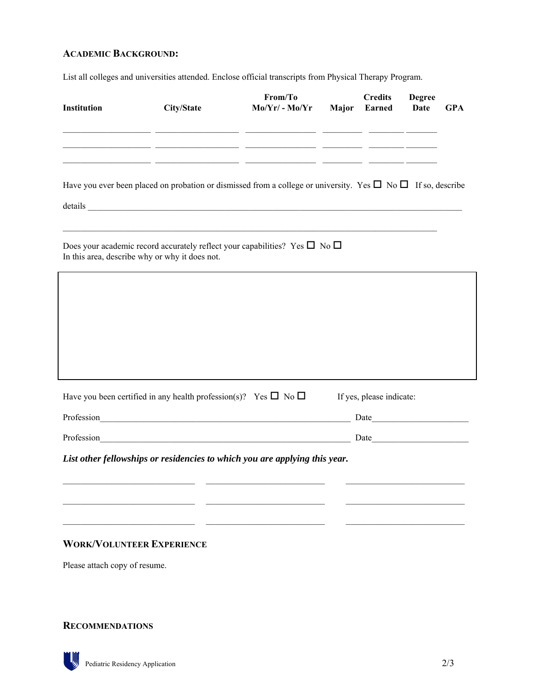## **ACADEMIC BACKGROUND:**

List all colleges and universities attended. Enclose official transcripts from Physical Therapy Program.

| <b>Institution</b>                                                                                                                           | City/State | From/To<br>$Mo/Yr/ - Mo/Yr$ Major                     | <b>Credits</b><br><b>Earned</b>                                                                                                                                                                                                | <b>Degree</b><br><b>Date</b> | <b>GPA</b> |
|----------------------------------------------------------------------------------------------------------------------------------------------|------------|-------------------------------------------------------|--------------------------------------------------------------------------------------------------------------------------------------------------------------------------------------------------------------------------------|------------------------------|------------|
|                                                                                                                                              |            | <u> 1989 - Johann John Harry, mars francuski film</u> | <u> 1990 - John Harry Barnett, francuski politik (</u>                                                                                                                                                                         |                              |            |
| Have you ever been placed on probation or dismissed from a college or university. Yes $\Box$ No $\Box$ If so, describe                       |            |                                                       |                                                                                                                                                                                                                                |                              |            |
| Does your academic record accurately reflect your capabilities? Yes $\square$ No $\square$<br>In this area, describe why or why it does not. |            |                                                       |                                                                                                                                                                                                                                |                              |            |
|                                                                                                                                              |            |                                                       |                                                                                                                                                                                                                                |                              |            |
|                                                                                                                                              |            |                                                       |                                                                                                                                                                                                                                |                              |            |
|                                                                                                                                              |            |                                                       |                                                                                                                                                                                                                                |                              |            |
| Have you been certified in any health profession(s)? Yes $\square$ No $\square$                                                              |            |                                                       | If yes, please indicate:                                                                                                                                                                                                       |                              |            |
| Profession Profession                                                                                                                        |            |                                                       | Date and the same state of the same state of the same state of the same state of the same state of the same state of the same state of the same state of the same state of the same state of the same state of the same state  |                              |            |
| Profession                                                                                                                                   |            |                                                       | Date and the second state of the second state and state and state and state and state and state and state and state and state and state and state and state and state and state and state and state and state and state and st |                              |            |
| List other fellowships or residencies to which you are applying this year.                                                                   |            |                                                       |                                                                                                                                                                                                                                |                              |            |
|                                                                                                                                              |            |                                                       |                                                                                                                                                                                                                                |                              |            |
|                                                                                                                                              |            |                                                       |                                                                                                                                                                                                                                |                              |            |
| <b>WORK/VOLUNTEER EXPERIENCE</b>                                                                                                             |            |                                                       |                                                                                                                                                                                                                                |                              |            |
| Please attach copy of resume.                                                                                                                |            |                                                       |                                                                                                                                                                                                                                |                              |            |

**RECOMMENDATIONS**